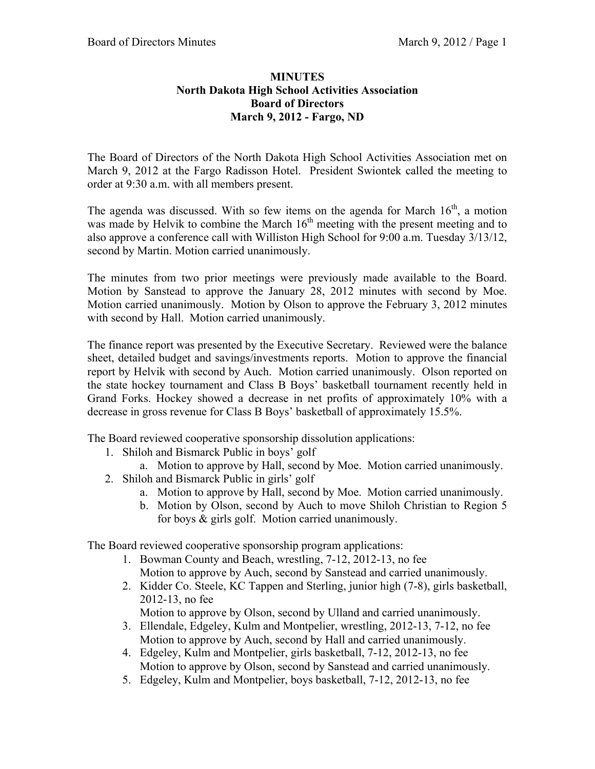## **MINUTES North Dakota High School Activities Association Board of Directors March 9, 2012 - Fargo, ND**

The Board of Directors of the North Dakota High School Activities Association met on March 9, 2012 at the Fargo Radisson Hotel. President Swiontek called the meeting to order at 9:30 a.m. with all members present.

The agenda was discussed. With so few items on the agenda for March  $16<sup>th</sup>$ , a motion was made by Helvik to combine the March  $16<sup>th</sup>$  meeting with the present meeting and to also approve a conference call with Williston High School for 9:00 a.m. Tuesday 3/13/12, second by Martin. Motion carried unanimously.

The minutes from two prior meetings were previously made available to the Board. Motion by Sanstead to approve the January 28, 2012 minutes with second by Moe. Motion carried unanimously. Motion by Olson to approve the February 3, 2012 minutes with second by Hall. Motion carried unanimously.

The finance report was presented by the Executive Secretary. Reviewed were the balance sheet, detailed budget and savings/investments reports. Motion to approve the financial report by Helvik with second by Auch. Motion carried unanimously. Olson reported on the state hockey tournament and Class B Boys' basketball tournament recently held in Grand Forks. Hockey showed a decrease in net profits of approximately 10% with a decrease in gross revenue for Class B Boys' basketball of approximately 15.5%.

The Board reviewed cooperative sponsorship dissolution applications:

- 1. Shiloh and Bismarck Public in boys' golf
	- a. Motion to approve by Hall, second by Moe. Motion carried unanimously.
- 2. Shiloh and Bismarck Public in girls' golf
	- a. Motion to approve by Hall, second by Moe. Motion carried unanimously.
	- b. Motion by Olson, second by Auch to move Shiloh Christian to Region 5 for boys & girls golf. Motion carried unanimously.

The Board reviewed cooperative sponsorship program applications:

- 1. Bowman County and Beach, wrestling, 7-12, 2012-13, no fee Motion to approve by Auch, second by Sanstead and carried unanimously.
- 2. Kidder Co. Steele, KC Tappen and Sterling, junior high (7-8), girls basketball, 2012-13, no fee

Motion to approve by Olson, second by Ulland and carried unanimously.

- 3. Ellendale, Edgeley, Kulm and Montpelier, wrestling, 2012-13, 7-12, no fee Motion to approve by Auch, second by Hall and carried unanimously.
- 4. Edgeley, Kulm and Montpelier, girls basketball, 7-12, 2012-13, no fee Motion to approve by Olson, second by Sanstead and carried unanimously.
- 5. Edgeley, Kulm and Montpelier, boys basketball, 7-12, 2012-13, no fee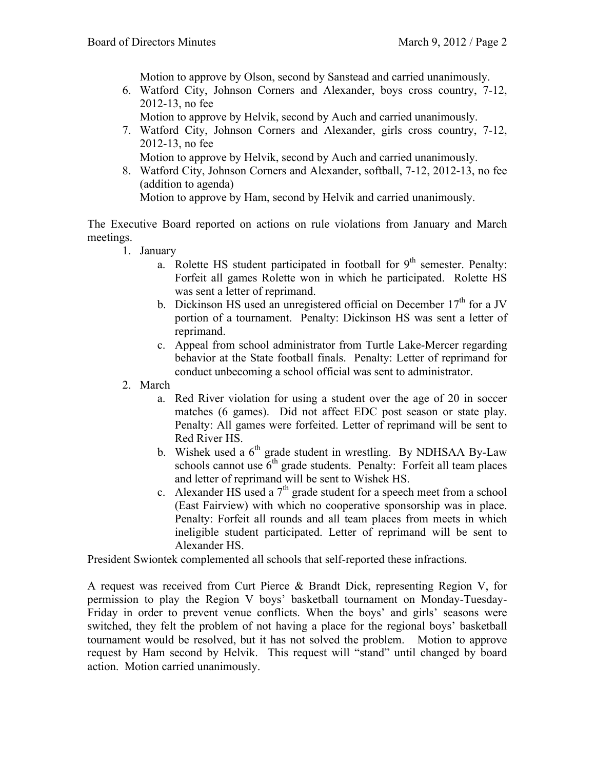Motion to approve by Olson, second by Sanstead and carried unanimously.

6. Watford City, Johnson Corners and Alexander, boys cross country, 7-12, 2012-13, no fee

Motion to approve by Helvik, second by Auch and carried unanimously.

7. Watford City, Johnson Corners and Alexander, girls cross country, 7-12, 2012-13, no fee

Motion to approve by Helvik, second by Auch and carried unanimously.

8. Watford City, Johnson Corners and Alexander, softball, 7-12, 2012-13, no fee (addition to agenda)

Motion to approve by Ham, second by Helvik and carried unanimously.

The Executive Board reported on actions on rule violations from January and March meetings.

- 1. January
	- a. Rolette HS student participated in football for  $9<sup>th</sup>$  semester. Penalty: Forfeit all games Rolette won in which he participated. Rolette HS was sent a letter of reprimand.
	- b. Dickinson HS used an unregistered official on December  $17<sup>th</sup>$  for a JV portion of a tournament. Penalty: Dickinson HS was sent a letter of reprimand.
	- c. Appeal from school administrator from Turtle Lake-Mercer regarding behavior at the State football finals. Penalty: Letter of reprimand for conduct unbecoming a school official was sent to administrator.
- 2. March
	- a. Red River violation for using a student over the age of 20 in soccer matches (6 games). Did not affect EDC post season or state play. Penalty: All games were forfeited. Letter of reprimand will be sent to Red River HS.
	- b. Wishek used a  $6<sup>th</sup>$  grade student in wrestling. By NDHSAA By-Law schools cannot use  $6<sup>th</sup>$  grade students. Penalty: Forfeit all team places and letter of reprimand will be sent to Wishek HS.
	- c. Alexander HS used a  $7<sup>th</sup>$  grade student for a speech meet from a school (East Fairview) with which no cooperative sponsorship was in place. Penalty: Forfeit all rounds and all team places from meets in which ineligible student participated. Letter of reprimand will be sent to Alexander HS.

President Swiontek complemented all schools that self-reported these infractions.

A request was received from Curt Pierce & Brandt Dick, representing Region V, for permission to play the Region V boys' basketball tournament on Monday-Tuesday-Friday in order to prevent venue conflicts. When the boys' and girls' seasons were switched, they felt the problem of not having a place for the regional boys' basketball tournament would be resolved, but it has not solved the problem. Motion to approve request by Ham second by Helvik. This request will "stand" until changed by board action. Motion carried unanimously.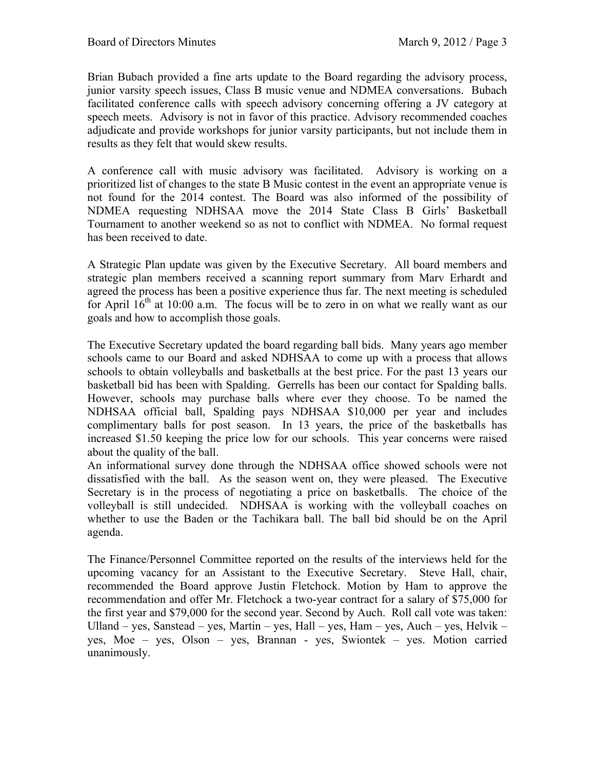Brian Bubach provided a fine arts update to the Board regarding the advisory process, junior varsity speech issues, Class B music venue and NDMEA conversations. Bubach facilitated conference calls with speech advisory concerning offering a JV category at speech meets. Advisory is not in favor of this practice. Advisory recommended coaches adjudicate and provide workshops for junior varsity participants, but not include them in results as they felt that would skew results.

A conference call with music advisory was facilitated. Advisory is working on a prioritized list of changes to the state B Music contest in the event an appropriate venue is not found for the 2014 contest. The Board was also informed of the possibility of NDMEA requesting NDHSAA move the 2014 State Class B Girls' Basketball Tournament to another weekend so as not to conflict with NDMEA. No formal request has been received to date.

A Strategic Plan update was given by the Executive Secretary. All board members and strategic plan members received a scanning report summary from Marv Erhardt and agreed the process has been a positive experience thus far. The next meeting is scheduled for April  $16<sup>th</sup>$  at 10:00 a.m. The focus will be to zero in on what we really want as our goals and how to accomplish those goals.

The Executive Secretary updated the board regarding ball bids. Many years ago member schools came to our Board and asked NDHSAA to come up with a process that allows schools to obtain volleyballs and basketballs at the best price. For the past 13 years our basketball bid has been with Spalding. Gerrells has been our contact for Spalding balls. However, schools may purchase balls where ever they choose. To be named the NDHSAA official ball, Spalding pays NDHSAA \$10,000 per year and includes complimentary balls for post season. In 13 years, the price of the basketballs has increased \$1.50 keeping the price low for our schools. This year concerns were raised about the quality of the ball.

An informational survey done through the NDHSAA office showed schools were not dissatisfied with the ball. As the season went on, they were pleased. The Executive Secretary is in the process of negotiating a price on basketballs. The choice of the volleyball is still undecided. NDHSAA is working with the volleyball coaches on whether to use the Baden or the Tachikara ball. The ball bid should be on the April agenda.

The Finance/Personnel Committee reported on the results of the interviews held for the upcoming vacancy for an Assistant to the Executive Secretary. Steve Hall, chair, recommended the Board approve Justin Fletchock. Motion by Ham to approve the recommendation and offer Mr. Fletchock a two-year contract for a salary of \$75,000 for the first year and \$79,000 for the second year. Second by Auch. Roll call vote was taken: Ulland – yes, Sanstead – yes, Martin – yes, Hall – yes, Ham – yes, Auch – yes, Helvik – yes, Moe – yes, Olson – yes, Brannan - yes, Swiontek – yes. Motion carried unanimously.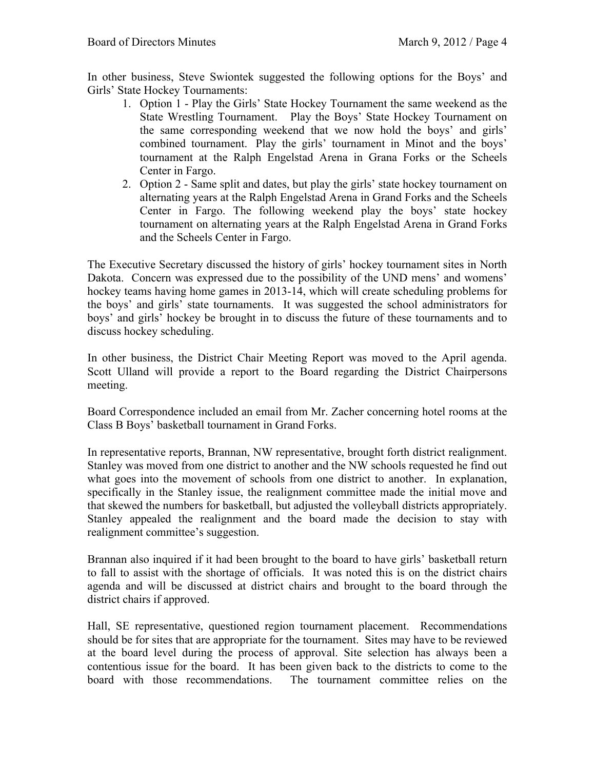In other business, Steve Swiontek suggested the following options for the Boys' and Girls' State Hockey Tournaments:

- 1. Option 1 Play the Girls' State Hockey Tournament the same weekend as the State Wrestling Tournament. Play the Boys' State Hockey Tournament on the same corresponding weekend that we now hold the boys' and girls' combined tournament. Play the girls' tournament in Minot and the boys' tournament at the Ralph Engelstad Arena in Grana Forks or the Scheels Center in Fargo.
- 2. Option 2 Same split and dates, but play the girls' state hockey tournament on alternating years at the Ralph Engelstad Arena in Grand Forks and the Scheels Center in Fargo. The following weekend play the boys' state hockey tournament on alternating years at the Ralph Engelstad Arena in Grand Forks and the Scheels Center in Fargo.

The Executive Secretary discussed the history of girls' hockey tournament sites in North Dakota. Concern was expressed due to the possibility of the UND mens' and womens' hockey teams having home games in 2013-14, which will create scheduling problems for the boys' and girls' state tournaments. It was suggested the school administrators for boys' and girls' hockey be brought in to discuss the future of these tournaments and to discuss hockey scheduling.

In other business, the District Chair Meeting Report was moved to the April agenda. Scott Ulland will provide a report to the Board regarding the District Chairpersons meeting.

Board Correspondence included an email from Mr. Zacher concerning hotel rooms at the Class B Boys' basketball tournament in Grand Forks.

In representative reports, Brannan, NW representative, brought forth district realignment. Stanley was moved from one district to another and the NW schools requested he find out what goes into the movement of schools from one district to another. In explanation, specifically in the Stanley issue, the realignment committee made the initial move and that skewed the numbers for basketball, but adjusted the volleyball districts appropriately. Stanley appealed the realignment and the board made the decision to stay with realignment committee's suggestion.

Brannan also inquired if it had been brought to the board to have girls' basketball return to fall to assist with the shortage of officials. It was noted this is on the district chairs agenda and will be discussed at district chairs and brought to the board through the district chairs if approved.

Hall, SE representative, questioned region tournament placement. Recommendations should be for sites that are appropriate for the tournament. Sites may have to be reviewed at the board level during the process of approval. Site selection has always been a contentious issue for the board. It has been given back to the districts to come to the board with those recommendations. The tournament committee relies on the